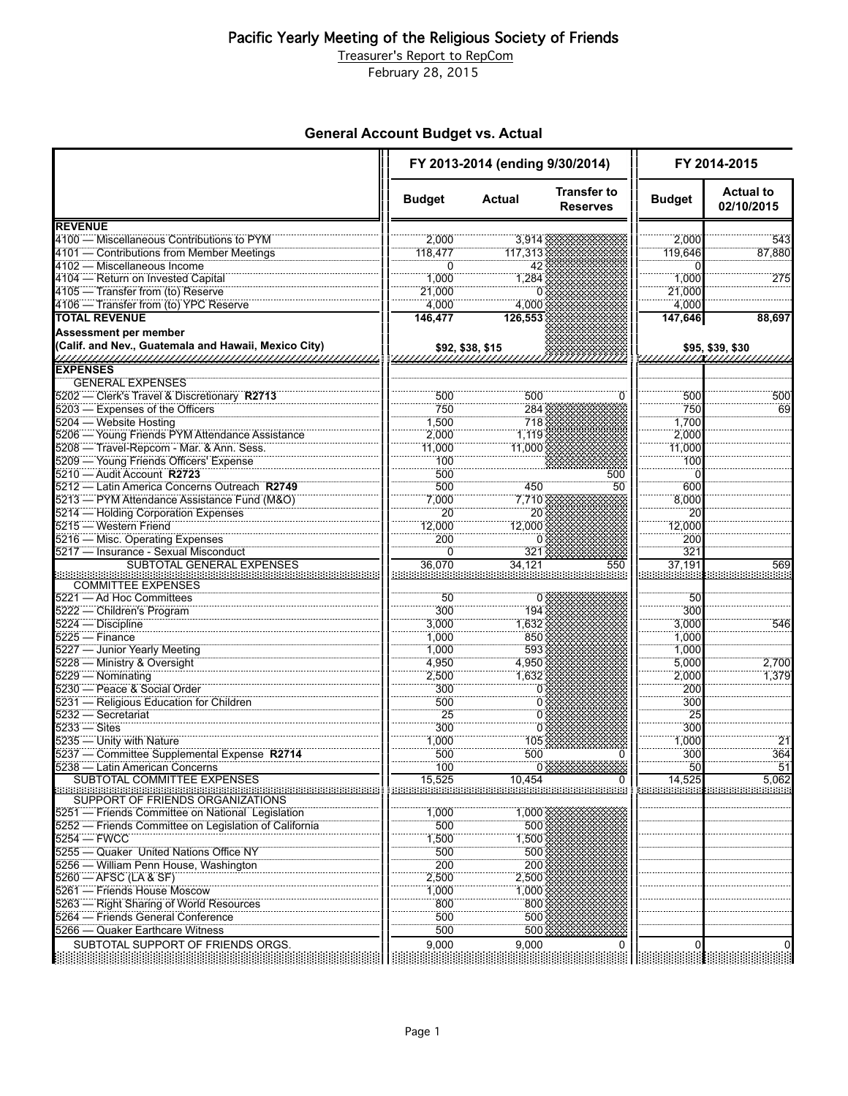## Pacific Yearly Meeting of the Religious Society of Friends

Treasurer's Report to RepCom

February 28, 2015

## **General Account Budget vs. Actual**

|                                                               | FY 2013-2014 (ending 9/30/2014) |                  |                                       | FY 2014-2015  |                                |
|---------------------------------------------------------------|---------------------------------|------------------|---------------------------------------|---------------|--------------------------------|
|                                                               | <b>Budget</b>                   | <b>Actual</b>    | <b>Transfer to</b><br><b>Reserves</b> | <b>Budget</b> | <b>Actual to</b><br>02/10/2015 |
| <b>REVENUE</b>                                                |                                 |                  |                                       |               |                                |
| 4100 - Miscellaneous Contributions to PYM                     | 2.000                           | 3,914            |                                       | 2.000         | 543                            |
| 4101 — Contributions from Member Meetings                     | 118,477                         | 117,313          |                                       | 119,646       | 87,880                         |
| 4102 - Miscellaneous Income                                   | $\Omega$                        | 42               |                                       |               |                                |
| 4104 - Return on Invested Capital                             | 1,000                           | 1,284            |                                       | 1,000         | 275                            |
| 4105 - Transfer from (to) Reserve                             | 21,000                          |                  |                                       | 21,000        |                                |
| 4106 - Transfer from (to) YPC Reserve                         | 4,000                           | 4,000            |                                       | 4,000         |                                |
| <b>TOTAL REVENUE</b>                                          | 146.477                         | 126,553          |                                       | 147,646       | 88,697                         |
| <b>Assessment per member</b>                                  |                                 |                  |                                       |               |                                |
| (Calif. and Nev., Guatemala and Hawaii, Mexico City)          |                                 | \$92, \$38, \$15 |                                       |               |                                |
| <b>EXPENSES</b>                                               |                                 |                  |                                       |               |                                |
| <b>GENERAL EXPENSES</b>                                       |                                 |                  |                                       |               |                                |
| 5202 - Clerk's Travel & Discretionary R2713                   | 500                             | 500              | U                                     | 500           | 500                            |
| 5203 - Expenses of the Officers                               | 750                             | 284              |                                       | 750           | 69                             |
| 5204 - Website Hosting                                        | 1,500                           | 718              |                                       | 1,700         |                                |
| 5206 - Young Friends PYM Attendance Assistance                | 2,000                           | 1,119            |                                       | 2,000         |                                |
| 5208 - Travel-Repcom - Mar. & Ann. Sess.                      | 11,000                          | 11.000           |                                       | 11,000        |                                |
|                                                               |                                 |                  |                                       |               |                                |
| 5209 - Young Friends Officers' Expense                        | 100                             |                  |                                       | 100           |                                |
| 5210 - Audit Account R2723                                    | 500                             |                  | 500                                   |               |                                |
| 5212 - Latin America Concerns Outreach R2749                  | 500                             | 450              | 50                                    | 600           |                                |
| 5213 - PYM Attendance Assistance Fund (M&O)                   | 7,000                           | 7,710            |                                       | 8,000         |                                |
| 5214 - Holding Corporation Expenses                           | 20                              | 20               |                                       | 20            |                                |
| 5215 - Western Friend                                         | 12,000                          | 12,000           |                                       | 12,000        |                                |
| 5216 - Misc. Operating Expenses                               | 200                             | 0                |                                       | 200           |                                |
| 5217 - Insurance - Sexual Misconduct                          | 0                               | 321              |                                       | 321           |                                |
| SUBTOTAL GENERAL EXPENSES                                     | 36,070                          | 34.121           | 550                                   | 37,191        | 569                            |
| <b>COMMITTEE EXPENSES</b>                                     |                                 |                  |                                       |               |                                |
| 5221 - Ad Hoc Committees                                      | 50                              | 0                |                                       | 50            |                                |
| 5222 - Children's Program                                     | 300                             | 194              |                                       | 300           |                                |
| 5224 - Discipline                                             | 3,000                           | 1,632            |                                       | 3,000         | 546                            |
| $5225 -$ Finance                                              | 1,000                           | 850              |                                       | 1,000         |                                |
| 5227 - Junior Yearly Meeting                                  | 1,000                           | 593              |                                       | 1,000         |                                |
| 5228 - Ministry & Oversight                                   | 4,950                           | 4,950            |                                       | 5,000         | 2,700                          |
| 5229 - Nominating                                             |                                 | 1,632            |                                       | 2,000         | 1,379                          |
| 5230 - Peace & Social Order                                   | 2,500<br>300                    |                  |                                       | 200           |                                |
|                                                               |                                 | 0                |                                       |               |                                |
| 5231 - Religious Education for Children<br>5232 - Secretariat | 500<br>$\overline{25}$          | 0                |                                       | 300<br>25     |                                |
| $5233 - \text{Sites}$                                         | 300                             | 0                |                                       | 300           |                                |
|                                                               |                                 | 0                |                                       |               | $\overline{21}$                |
| 5235 - Unity with Nature                                      | 1,000                           | 105              |                                       | 1,000         |                                |
| 5237 - Committee Supplemental Expense R2714                   | 500                             | 500              |                                       | 300           | 364                            |
| 5238 — Latin American Concerns                                | 100                             |                  |                                       | 50            |                                |
| SUBTOTAL COMMITTEE EXPENSES                                   | 15,525                          | 10,454           | 0                                     | 14,525        | 5,062                          |
| SUPPORT OF FRIENDS ORGANIZATIONS                              |                                 |                  |                                       |               |                                |
| 5251 - Friends Committee on National Legislation              | 1,000                           | 1,000            |                                       |               |                                |
| 5252 - Friends Committee on Legislation of California         | 500                             | 500              |                                       |               |                                |
| $5254 - FWCC$                                                 | 1,500                           | 1,500            |                                       |               |                                |
| 5255 - Quaker United Nations Office NY                        | 500                             | 500              |                                       |               |                                |
| 5256 - William Penn House, Washington                         | 200                             | 200              |                                       |               |                                |
| 5260 - AFSC (LA & SF)                                         | 2,500                           | 2,500            |                                       |               |                                |
| 5261 - Friends House Moscow                                   | 1,000                           | 1,000            |                                       |               |                                |
| 5263 - Right Sharing of World Resources                       | 800                             | 800              |                                       |               |                                |
| 5264 - Friends General Conference                             | 500                             | 500              |                                       |               |                                |
| 5266 - Quaker Earthcare Witness                               | 500                             | 500              |                                       |               |                                |
| SUBTOTAL SUPPORT OF FRIENDS ORGS.                             | 9,000                           | 9,000            | 0                                     |               |                                |
|                                                               |                                 |                  |                                       |               |                                |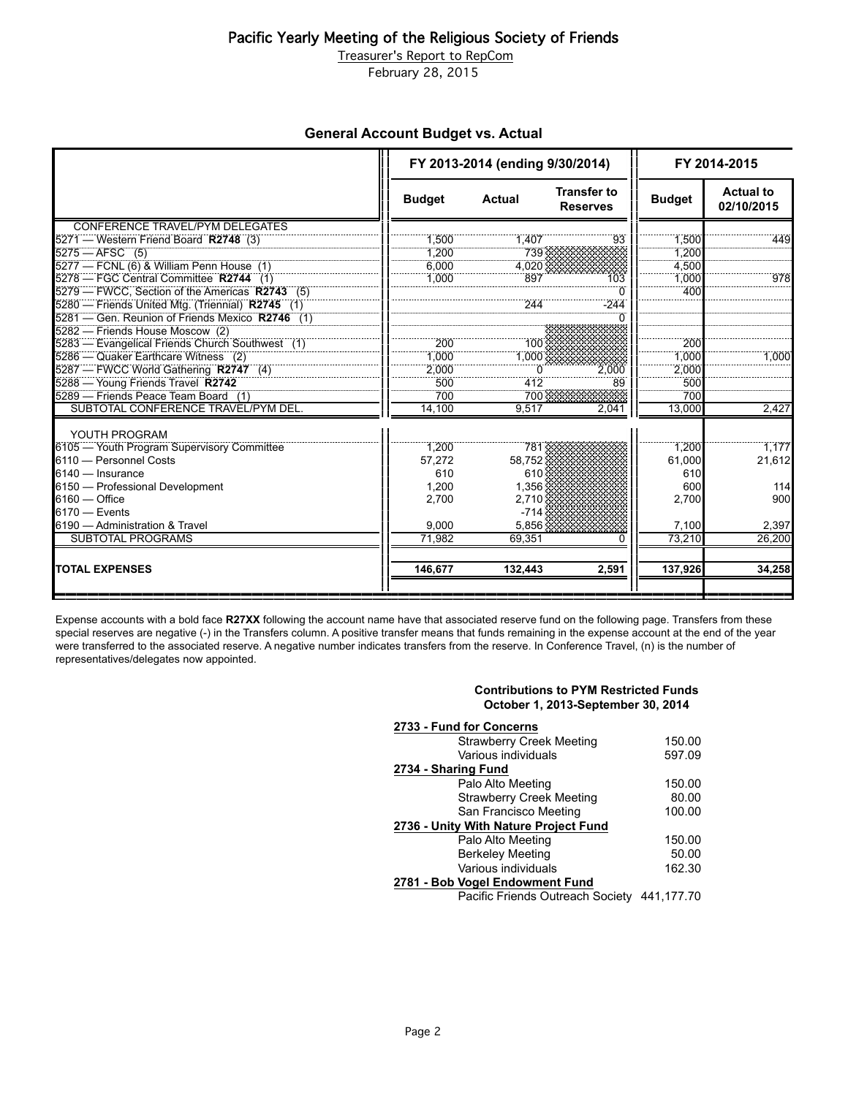## Pacific Yearly Meeting of the Religious Society of Friends

Treasurer's Report to RepCom

February 28, 2015

### **General Account Budget vs. Actual**

|                                                  | FY 2013-2014 (ending 9/30/2014) |               |                                       | FY 2014-2015  |                                |
|--------------------------------------------------|---------------------------------|---------------|---------------------------------------|---------------|--------------------------------|
|                                                  | <b>Budget</b>                   | <b>Actual</b> | <b>Transfer to</b><br><b>Reserves</b> | <b>Budget</b> | <b>Actual to</b><br>02/10/2015 |
| CONFERENCE TRAVEL/PYM DELEGATES                  |                                 |               |                                       |               |                                |
| 5271 — Western Friend Board R2748 (3)            | 1,500                           | 1,407         | 93                                    | 1,500         | 449                            |
| $5275 - AFSC$ (5)                                | 1.200                           | 739           |                                       | 1.200         |                                |
| 5277 - FCNL (6) & William Penn House (1)         | 6.000                           | 4.020         |                                       | 4.500         |                                |
| 5278 - FGC Central Committee R2744 (1)           | 1,000                           | 897           | 103                                   | 1,000         | 978                            |
| 5279 - FWCC, Section of the Americas R2743 (5)   |                                 |               | $\Omega$                              | 400           |                                |
| 5280 - Friends United Mtg. (Triennial) R2745 (1) |                                 | 244           | $-244$                                |               |                                |
| 5281 - Gen. Reunion of Friends Mexico R2746 (1)  |                                 |               |                                       |               |                                |
| 5282 - Friends House Moscow (2)                  |                                 |               |                                       |               |                                |
| 5283 - Evangelical Friends Church Southwest (1)  | 200                             | 100           |                                       | 200           |                                |
| 5286 — Quaker Earthcare Witness (2)              | 1.000                           | 1.000         |                                       | 1.000         | 1.000                          |
| 5287 - FWCC World Gathering R2747 (4)            | 2.000                           |               | 2.000                                 | 2.000         |                                |
| 5288 - Young Friends Travel R2742                | 500                             | 412           | 89                                    | 500           |                                |
| 5289 - Friends Peace Team Board (1)              | 700                             | 700           |                                       | 700           |                                |
| SUBTOTAL CONFERENCE TRAVEL/PYM DEL.              | 14.100                          | 9.517         | 2,041                                 | 13.000        | 2,427                          |
| YOUTH PROGRAM                                    |                                 |               |                                       |               |                                |
| 6105 - Youth Program Supervisory Committee       | 1.200                           | 781           |                                       | 1.200         | 1,177                          |
| 6110 - Personnel Costs                           | 57,272                          | 58,752        |                                       | 61,000        | 21,612                         |
| 6140 - Insurance                                 | 610                             | 610           |                                       | 610           |                                |
| 6150 - Professional Development                  | 1,200                           | 1.356         |                                       | 600           | 114                            |
| $6160 -$ Office                                  | 2,700                           | 2,710         |                                       | 2,700         | 900                            |
| $6170 -$ Events                                  |                                 | $-714$        |                                       |               |                                |
| 6190 - Administration & Travel                   | 9.000                           | 5.856         |                                       | 7,100         | 2,397                          |
| <b>SUBTOTAL PROGRAMS</b>                         | 71.982                          | 69.351        |                                       | 73.210        | 26,200                         |
| <b>TOTAL EXPENSES</b>                            | 146,677                         | 132,443       | 2,591                                 | 137,926       | 34,258                         |

Expense accounts with a bold face **R27XX** following the account name have that associated reserve fund on the following page. Transfers from these special reserves are negative (-) in the Transfers column. A positive transfer means that funds remaining in the expense account at the end of the year were transferred to the associated reserve. A negative number indicates transfers from the reserve. In Conference Travel, (n) is the number of representatives/delegates now appointed.

#### **Contributions to PYM Restricted Funds October 1, 2013-September 30, 2014**

| 2733 - Fund for Concerns                    |        |  |  |  |  |
|---------------------------------------------|--------|--|--|--|--|
| <b>Strawberry Creek Meeting</b>             | 150.00 |  |  |  |  |
| Various individuals                         | 597.09 |  |  |  |  |
| 2734 - Sharing Fund                         |        |  |  |  |  |
| Palo Alto Meeting                           | 150.00 |  |  |  |  |
| <b>Strawberry Creek Meeting</b>             | 80.00  |  |  |  |  |
| San Francisco Meeting                       | 100.00 |  |  |  |  |
| 2736 - Unity With Nature Project Fund       |        |  |  |  |  |
| Palo Alto Meeting                           | 150.00 |  |  |  |  |
| <b>Berkeley Meeting</b>                     | 50.00  |  |  |  |  |
| Various individuals                         | 162.30 |  |  |  |  |
| 2781 - Bob Vogel Endowment Fund             |        |  |  |  |  |
| Pacific Friends Outreach Society 441,177.70 |        |  |  |  |  |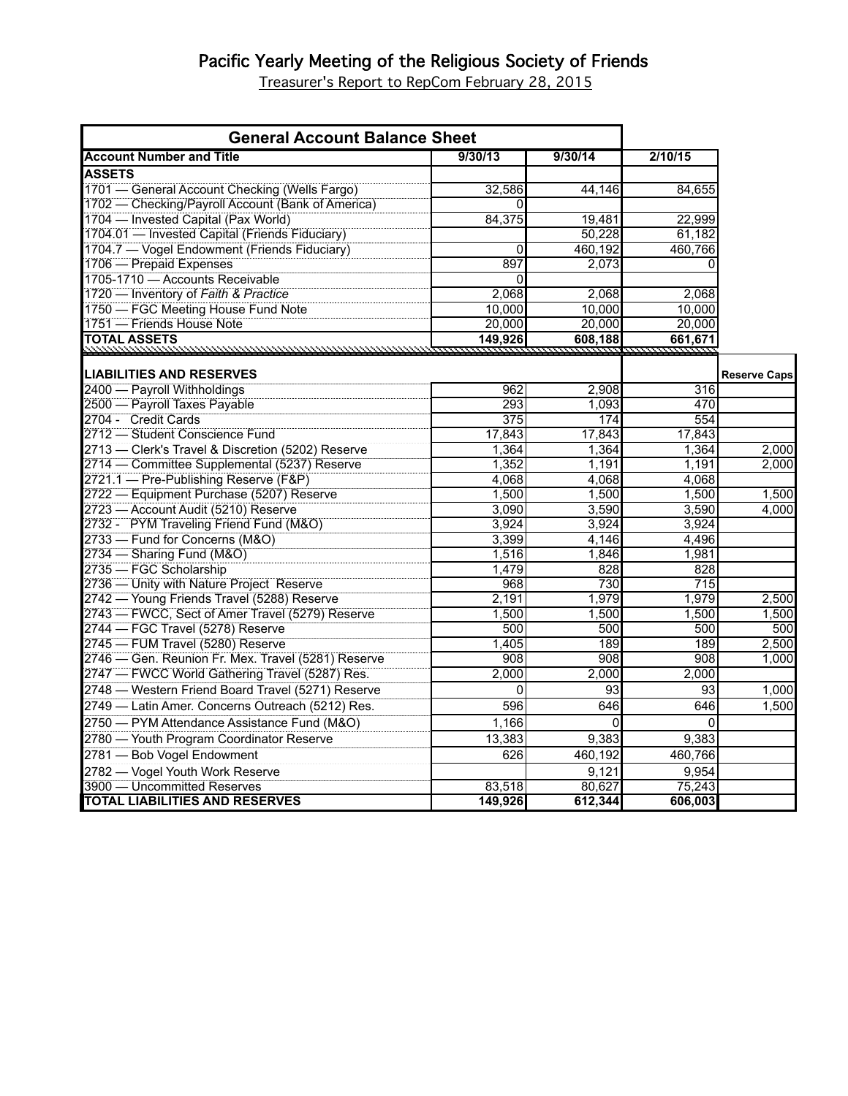# Pacific Yearly Meeting of the Religious Society of Friends

Treasurer's Report to RepCom February 28, 2015

| <b>General Account Balance Sheet</b>                                                          |              |              |                                  |                     |
|-----------------------------------------------------------------------------------------------|--------------|--------------|----------------------------------|---------------------|
| <b>Account Number and Title</b>                                                               | 9/30/13      | 9/30/14      | 2/10/15                          |                     |
| <b>ASSETS</b>                                                                                 |              |              |                                  |                     |
| 1701 — General Account Checking (Wells Fargo)                                                 | 32,586       | 44,146       | 84,655                           |                     |
| 1702 - Checking/Payroll Account (Bank of America)                                             |              |              |                                  |                     |
| 1704 - Invested Capital (Pax World)                                                           | 84,375       | 19,481       | 22,999                           |                     |
| 1704.01 - Invested Capital (Friends Fiduciary)                                                |              | 50,228       | 61,182                           |                     |
| 1704.7 - Vogel Endowment (Friends Fiduciary)                                                  | 0            | 460,192      | 460,766                          |                     |
| 1706 — Prepaid Expenses                                                                       | 897          | 2,073        | <sup>0</sup>                     |                     |
| 1705-1710 - Accounts Receivable                                                               | 0            |              |                                  |                     |
| 1720 - Inventory of Faith & Practice                                                          | 2.068        | 2,068        | 2,068                            |                     |
| 1750 - FGC Meeting House Fund Note                                                            | 10,000       | 10,000       | 10,000                           |                     |
| 1751 - Friends House Note                                                                     | 20,000       | 20,000       | 20,000                           |                     |
| <b>ITOTAL ASSETS</b>                                                                          | 149,926      | 608,188      | 661,671<br><u>naina mananana</u> |                     |
|                                                                                               |              |              |                                  |                     |
| <b>LIABILITIES AND RESERVES</b>                                                               |              |              |                                  | <b>Reserve Caps</b> |
| 2400 - Payroll Withholdings                                                                   | 962          | 2,908        | 316                              |                     |
| 2500 - Payroll Taxes Payable                                                                  | 293          | 1,093        | 470                              |                     |
| 2704 - Credit Cards                                                                           | 375          | 174          | 554                              |                     |
| 2712 - Student Conscience Fund                                                                | 17,843       | 17,843       | 17,843                           |                     |
| 2713 - Clerk's Travel & Discretion (5202) Reserve                                             | 1.364        | 1,364        | 1.364                            | 2.000               |
| 2714 - Committee Supplemental (5237) Reserve                                                  | 1,352        | 1,191        | 1,191                            | 2,000               |
| 2721.1 - Pre-Publishing Reserve (F&P)                                                         | 4,068        | 4,068        | 4,068                            |                     |
| 2722 - Equipment Purchase (5207) Reserve                                                      | 1.500        | 1.500        | 1.500                            | 1.500               |
| 2723 - Account Audit (5210) Reserve                                                           | 3,090        | 3,590        | 3,590                            | 4,000               |
| 2732 - PYM Traveling Friend Fund (M&O)                                                        | 3,924        | 3,924        | 3,924                            |                     |
| 2733 - Fund for Concerns (M&O)                                                                | 3,399        | 4,146        | 4,496                            |                     |
| 2734 - Sharing Fund (M&O)<br>2735 - FGC Scholarship                                           | 1,516        | 1,846        | 1,981                            |                     |
|                                                                                               | 1,479        | 828          | 828                              |                     |
| 2736 - Unity with Nature Project Reserve                                                      | 968          | 730<br>1,979 | 715                              |                     |
| 2742 - Young Friends Travel (5288) Reserve<br>2743 - FWCC, Sect of Amer Travel (5279) Reserve | 2,191        |              | 1,979                            | 2,500               |
|                                                                                               | 1.500        | 1.500        | 1.500                            | 1.500               |
| 2744 - FGC Travel (5278) Reserve<br>2745 - FUM Travel (5280) Reserve                          | 500<br>1,405 | 500<br>189   | 500<br>189                       | 500<br>2,500        |
| 2746 - Gen. Reunion Fr. Mex. Travel (5281) Reserve                                            | 908          | 908          | 908                              | 1,000               |
| 2747 - FWCC World Gathering Travel (5287) Res.                                                | 2,000        | 2,000        | 2,000                            |                     |
| 2748 - Western Friend Board Travel (5271) Reserve                                             | $\Omega$     | 93           | 93                               | 1,000               |
|                                                                                               |              |              |                                  |                     |
| 2749 - Latin Amer. Concerns Outreach (5212) Res.                                              | 596          | 646          | 646                              | 1,500               |
| 2750 - PYM Attendance Assistance Fund (M&O)                                                   | 1,166        | 0            | 0                                |                     |
| 2780 - Youth Program Coordinator Reserve                                                      | 13,383       | 9,383        | 9,383                            |                     |
| 2781 - Bob Vogel Endowment                                                                    | 626          | 460,192      | 460,766                          |                     |
| 2782 - Vogel Youth Work Reserve                                                               |              | 9,121        | 9,954                            |                     |
| 3900 - Uncommitted Reserves                                                                   | 83,518       | 80,627       | 75,243                           |                     |
| <b>TOTAL LIABILITIES AND RESERVES</b>                                                         | 149,926      | 612,344      | 606,003                          |                     |